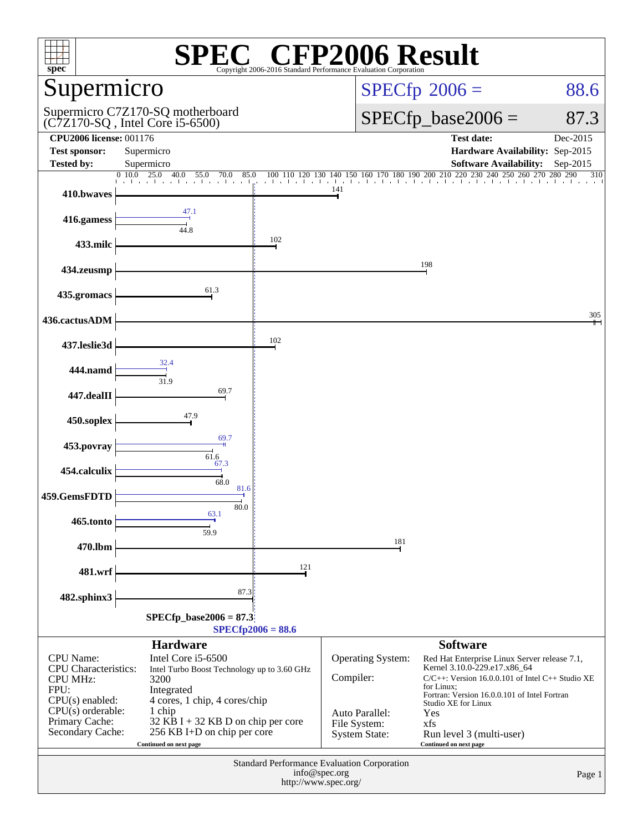| $spec*$                                                            |                                                                                                                |                                       | <b>CFP2006 Result</b><br>Copyright 2006-2016 Standard Performance Evaluation Corporation |                                                                                                                                       |                            |
|--------------------------------------------------------------------|----------------------------------------------------------------------------------------------------------------|---------------------------------------|------------------------------------------------------------------------------------------|---------------------------------------------------------------------------------------------------------------------------------------|----------------------------|
| Supermicro                                                         |                                                                                                                |                                       |                                                                                          | $SPECfp^{\circ}2006 =$                                                                                                                | 88.6                       |
|                                                                    | Supermicro C7Z170-SQ motherboard<br>$(C7Z170-SQ$ , Intel Core i5-6500)                                         |                                       |                                                                                          | $SPECfp\_base2006 =$                                                                                                                  | 87.3                       |
| <b>CPU2006 license: 001176</b><br><b>Test sponsor:</b>             | Supermicro                                                                                                     |                                       |                                                                                          | <b>Test date:</b><br>Hardware Availability: Sep-2015                                                                                  | Dec-2015                   |
| <b>Tested by:</b>                                                  | Supermicro                                                                                                     |                                       |                                                                                          | <b>Software Availability:</b>                                                                                                         | $Sep-2015$                 |
|                                                                    | 0.10.0<br>25.0<br>40.0<br>55.0<br>70.0<br>85.0<br>a bara bara bara bara bara l <sub>at</sub> ar barba barba ba | 100 110 120 130                       | 150 160 170 180 190 200 210 220<br>140                                                   | 230 240                                                                                                                               | 250 260 270 280 290<br>310 |
| 410.bwaves                                                         |                                                                                                                |                                       | 141                                                                                      |                                                                                                                                       |                            |
| 416.gamess                                                         | 47.1<br>44.8                                                                                                   |                                       |                                                                                          |                                                                                                                                       |                            |
| 433.milc                                                           |                                                                                                                | 102                                   |                                                                                          |                                                                                                                                       |                            |
| 434.zeusmp                                                         |                                                                                                                |                                       |                                                                                          | 198                                                                                                                                   |                            |
| 435.gromacs                                                        | 61.3                                                                                                           |                                       |                                                                                          |                                                                                                                                       |                            |
| 436.cactusADM                                                      |                                                                                                                |                                       |                                                                                          |                                                                                                                                       | 305                        |
| 437.leslie3d                                                       |                                                                                                                | 102                                   |                                                                                          |                                                                                                                                       |                            |
| 444.namd                                                           | 31.9                                                                                                           |                                       |                                                                                          |                                                                                                                                       |                            |
| 447.dealII                                                         | 69.7                                                                                                           |                                       |                                                                                          |                                                                                                                                       |                            |
| 450.soplex                                                         | 47.9                                                                                                           |                                       |                                                                                          |                                                                                                                                       |                            |
| 453.povray                                                         | 69.7                                                                                                           |                                       |                                                                                          |                                                                                                                                       |                            |
| 454.calculix                                                       | 61.6<br>67.3                                                                                                   |                                       |                                                                                          |                                                                                                                                       |                            |
| 459.GemsFDTD                                                       | 68.0<br>81.6                                                                                                   |                                       |                                                                                          |                                                                                                                                       |                            |
| 465.tonto                                                          | 80.0<br>63.1                                                                                                   |                                       |                                                                                          |                                                                                                                                       |                            |
| 470.lbm                                                            | 59.9                                                                                                           |                                       | 181                                                                                      |                                                                                                                                       |                            |
| 481.wrf                                                            |                                                                                                                | 121                                   |                                                                                          |                                                                                                                                       |                            |
| 482.sphinx3                                                        | 87.3                                                                                                           |                                       |                                                                                          |                                                                                                                                       |                            |
|                                                                    | $SPECfp\_base2006 = 87.3$                                                                                      | $SPECfp2006 = 88.6$                   |                                                                                          |                                                                                                                                       |                            |
|                                                                    | <b>Hardware</b>                                                                                                |                                       |                                                                                          | <b>Software</b>                                                                                                                       |                            |
| <b>CPU</b> Name:<br><b>CPU</b> Characteristics:<br><b>CPU MHz:</b> | Intel Core i5-6500<br>Intel Turbo Boost Technology up to 3.60 GHz<br>3200                                      |                                       | <b>Operating System:</b><br>Compiler:                                                    | Red Hat Enterprise Linux Server release 7.1,<br>Kernel 3.10.0-229.e17.x86_64<br>$C/C++$ : Version 16.0.0.101 of Intel $C++$ Studio XE |                            |
| FPU:<br>$CPU(s)$ enabled:                                          | Integrated<br>4 cores, 1 chip, 4 cores/chip                                                                    |                                       |                                                                                          | for Linux:<br>Fortran: Version 16.0.0.101 of Intel Fortran<br>Studio XE for Linux                                                     |                            |
| $CPU(s)$ orderable:<br>Primary Cache:                              | 1 chip<br>32 KB I + 32 KB D on chip per core                                                                   |                                       | Auto Parallel:                                                                           | Yes                                                                                                                                   |                            |
| Secondary Cache:                                                   | 256 KB I+D on chip per core<br>Continued on next page                                                          |                                       | File System:<br><b>System State:</b>                                                     | xfs<br>Run level 3 (multi-user)<br>Continued on next page                                                                             |                            |
|                                                                    |                                                                                                                |                                       | Standard Performance Evaluation Corporation                                              |                                                                                                                                       |                            |
|                                                                    |                                                                                                                | info@spec.org<br>http://www.spec.org/ |                                                                                          |                                                                                                                                       | Page 1                     |
|                                                                    |                                                                                                                |                                       |                                                                                          |                                                                                                                                       |                            |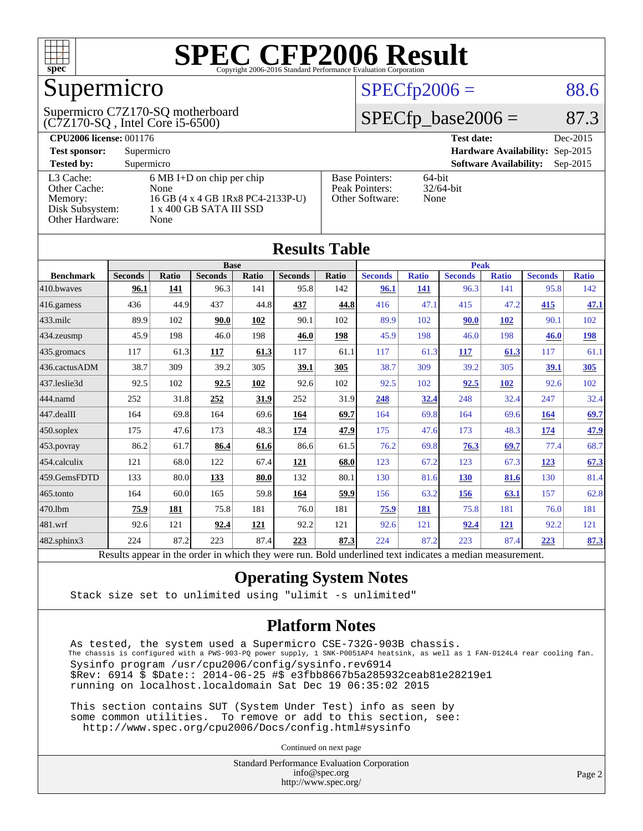

## Supermicro

(C7Z170-SQ , Intel Core i5-6500) Supermicro C7Z170-SQ motherboard

#### $SPECTp2006 = 88.6$

#### $SPECfp\_base2006 = 87.3$

| <b>CPU2006 license: 001176</b> |                                     |                       | <b>Test date:</b><br>Dec-2015               |
|--------------------------------|-------------------------------------|-----------------------|---------------------------------------------|
| <b>Test sponsor:</b>           | Supermicro                          |                       | <b>Hardware Availability: Sep-2015</b>      |
| <b>Tested by:</b>              | Supermicro                          |                       | <b>Software Availability:</b><br>$Sep-2015$ |
| L3 Cache:                      | $6 \text{ MB I+D}$ on chip per chip | <b>Base Pointers:</b> | 64-bit                                      |
| Other Cache:                   | None                                | Peak Pointers:        | $32/64$ -bit                                |
| Memory:                        | 16 GB (4 x 4 GB 1Rx8 PC4-2133P-U)   | Other Software:       | None                                        |
| Disk Subsystem:                | 1 x 400 GB SATA III SSD             |                       |                                             |
| Other Hardware:                | None                                |                       |                                             |

|                   |                                                                                                          |              |                |             | <b>Results Table</b> |       |                |              |                |              |                |              |
|-------------------|----------------------------------------------------------------------------------------------------------|--------------|----------------|-------------|----------------------|-------|----------------|--------------|----------------|--------------|----------------|--------------|
|                   | <b>Base</b>                                                                                              |              |                | <b>Peak</b> |                      |       |                |              |                |              |                |              |
| <b>Benchmark</b>  | <b>Seconds</b>                                                                                           | <b>Ratio</b> | <b>Seconds</b> | Ratio       | <b>Seconds</b>       | Ratio | <b>Seconds</b> | <b>Ratio</b> | <b>Seconds</b> | <b>Ratio</b> | <b>Seconds</b> | <b>Ratio</b> |
| 410.bwayes        | 96.1                                                                                                     | 141          | 96.3           | 141         | 95.8                 | 142   | 96.1           | 141          | 96.3           | 141          | 95.8           | 142          |
| 416.gamess        | 436                                                                                                      | 44.9         | 437            | 44.8        | 437                  | 44.8  | 416            | 47.1         | 415            | 47.2         | 415            | <u>47.1</u>  |
| $433$ .milc       | 89.9                                                                                                     | 102          | 90.0           | 102         | 90.1                 | 102   | 89.9           | 102          | 90.0           | <b>102</b>   | 90.1           | 102          |
| 434.zeusmp        | 45.9                                                                                                     | 198          | 46.0           | 198         | 46.0                 | 198   | 45.9           | 198          | 46.0           | 198          | 46.0           | <u>198</u>   |
| 435.gromacs       | 117                                                                                                      | 61.3         | 117            | 61.3        | 117                  | 61.1  | 117            | 61.3         | 117            | 61.3         | 117            | 61.1         |
| 436.cactusADM     | 38.7                                                                                                     | 309          | 39.2           | 305         | 39.1                 | 305   | 38.7           | 309          | 39.2           | 305          | 39.1           | 305          |
| 437.leslie3d      | 92.5                                                                                                     | 102          | 92.5           | 102         | 92.6                 | 102   | 92.5           | 102          | 92.5           | 102          | 92.6           | 102          |
| 444.namd          | 252                                                                                                      | 31.8         | 252            | 31.9        | 252                  | 31.9  | 248            | 32.4         | 248            | 32.4         | 247            | 32.4         |
| 447.dealII        | 164                                                                                                      | 69.8         | 164            | 69.6        | 164                  | 69.7  | 164            | 69.8         | 164            | 69.6         | 164            | 69.7         |
| $450$ .soplex     | 175                                                                                                      | 47.6         | 173            | 48.3        | 174                  | 47.9  | 175            | 47.6         | 173            | 48.3         | 174            | 47.9         |
| 453.povray        | 86.2                                                                                                     | 61.7         | 86.4           | 61.6        | 86.6                 | 61.5  | 76.2           | 69.8         | 76.3           | 69.7         | 77.4           | 68.7         |
| 454.calculix      | 121                                                                                                      | 68.0         | 122            | 67.4        | 121                  | 68.0  | 123            | 67.2         | 123            | 67.3         | 123            | 67.3         |
| 459.GemsFDTD      | 133                                                                                                      | 80.0         | 133            | 80.0        | 132                  | 80.1  | 130            | 81.6         | 130            | 81.6         | 130            | 81.4         |
| 465.tonto         | 164                                                                                                      | 60.0         | 165            | 59.8        | 164                  | 59.9  | 156            | 63.2         | 156            | 63.1         | 157            | 62.8         |
| 470.1bm           | 75.9                                                                                                     | 181          | 75.8           | 181         | 76.0                 | 181   | 75.9           | 181          | 75.8           | 181          | 76.0           | 181          |
| 481.wrf           | 92.6                                                                                                     | 121          | 92.4           | 121         | 92.2                 | 121   | 92.6           | 121          | 92.4           | <b>121</b>   | 92.2           | 121          |
| $482$ .sphinx $3$ | 224                                                                                                      | 87.2         | 223            | 87.4        | 223                  | 87.3  | 224            | 87.2         | 223            | 87.4         | 223            | 87.3         |
|                   | Results appear in the order in which they were run. Bold underlined text indicates a median measurement. |              |                |             |                      |       |                |              |                |              |                |              |

#### **[Operating System Notes](http://www.spec.org/auto/cpu2006/Docs/result-fields.html#OperatingSystemNotes)**

Stack size set to unlimited using "ulimit -s unlimited"

#### **[Platform Notes](http://www.spec.org/auto/cpu2006/Docs/result-fields.html#PlatformNotes)**

 As tested, the system used a Supermicro CSE-732G-903B chassis. The chassis is configured with a PWS-903-PQ power supply, 1 SNK-P0051AP4 heatsink, as well as 1 FAN-0124L4 rear cooling fan. Sysinfo program /usr/cpu2006/config/sysinfo.rev6914 \$Rev: 6914 \$ \$Date:: 2014-06-25 #\$ e3fbb8667b5a285932ceab81e28219e1 running on localhost.localdomain Sat Dec 19 06:35:02 2015

 This section contains SUT (System Under Test) info as seen by some common utilities. To remove or add to this section, see: <http://www.spec.org/cpu2006/Docs/config.html#sysinfo>

Continued on next page

Standard Performance Evaluation Corporation [info@spec.org](mailto:info@spec.org) <http://www.spec.org/>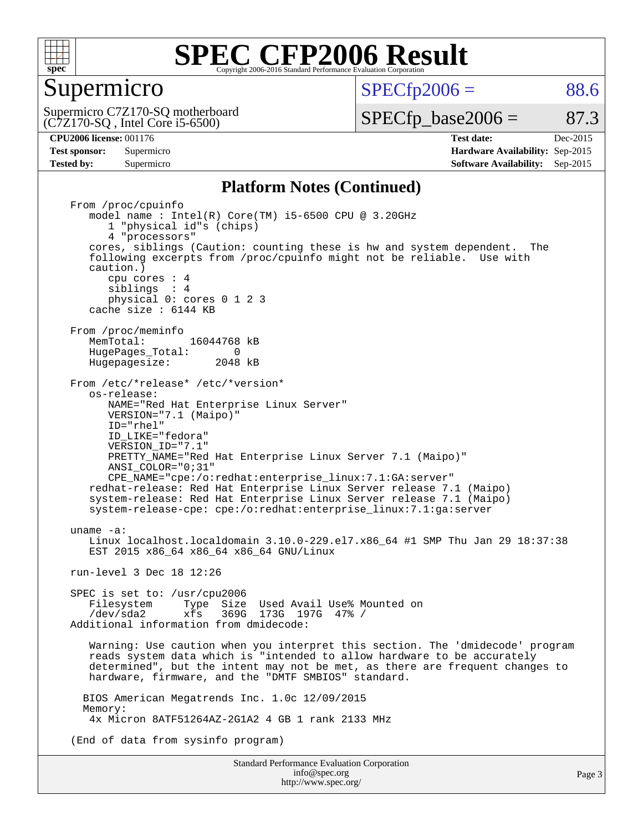

#### Supermicro

 $SPECTp2006 = 88.6$ 

(C7Z170-SQ , Intel Core i5-6500) Supermicro C7Z170-SQ motherboard  $SPECTp\_base2006 = 87.3$ 

**[CPU2006 license:](http://www.spec.org/auto/cpu2006/Docs/result-fields.html#CPU2006license)** 001176 **[Test date:](http://www.spec.org/auto/cpu2006/Docs/result-fields.html#Testdate)** Dec-2015 **[Test sponsor:](http://www.spec.org/auto/cpu2006/Docs/result-fields.html#Testsponsor)** Supermicro **[Hardware Availability:](http://www.spec.org/auto/cpu2006/Docs/result-fields.html#HardwareAvailability)** Sep-2015 **[Tested by:](http://www.spec.org/auto/cpu2006/Docs/result-fields.html#Testedby)** Supermicro **Supermicro [Software Availability:](http://www.spec.org/auto/cpu2006/Docs/result-fields.html#SoftwareAvailability)** Sep-2015

#### **[Platform Notes \(Continued\)](http://www.spec.org/auto/cpu2006/Docs/result-fields.html#PlatformNotes)**

Standard Performance Evaluation Corporation From /proc/cpuinfo model name : Intel(R) Core(TM) i5-6500 CPU @ 3.20GHz 1 "physical id"s (chips) 4 "processors" cores, siblings (Caution: counting these is hw and system dependent. The following excerpts from /proc/cpuinfo might not be reliable. Use with caution.) cpu cores : 4 siblings : 4 physical 0: cores 0 1 2 3 cache size : 6144 KB From /proc/meminfo<br>MemTotal: 16044768 kB HugePages\_Total: 0<br>Hugepagesize: 2048 kB Hugepagesize: From /etc/\*release\* /etc/\*version\* os-release: NAME="Red Hat Enterprise Linux Server" VERSION="7.1 (Maipo)" ID="rhel" ID\_LIKE="fedora" VERSION\_ID="7.1" PRETTY NAME="Red Hat Enterprise Linux Server 7.1 (Maipo)" ANSI\_COLOR="0;31" CPE\_NAME="cpe:/o:redhat:enterprise\_linux:7.1:GA:server" redhat-release: Red Hat Enterprise Linux Server release 7.1 (Maipo) system-release: Red Hat Enterprise Linux Server release 7.1 (Maipo) system-release-cpe: cpe:/o:redhat:enterprise\_linux:7.1:ga:server uname -a: Linux localhost.localdomain 3.10.0-229.el7.x86\_64 #1 SMP Thu Jan 29 18:37:38 EST 2015 x86\_64 x86\_64 x86\_64 GNU/Linux run-level 3 Dec 18 12:26 SPEC is set to: /usr/cpu2006<br>Filesystem Type Size Filesystem Type Size Used Avail Use% Mounted on /dev/sda2 xfs 369G 173G 197G 47% / Additional information from dmidecode: Warning: Use caution when you interpret this section. The 'dmidecode' program reads system data which is "intended to allow hardware to be accurately determined", but the intent may not be met, as there are frequent changes to hardware, firmware, and the "DMTF SMBIOS" standard. BIOS American Megatrends Inc. 1.0c 12/09/2015 Memory: 4x Micron 8ATF51264AZ-2G1A2 4 GB 1 rank 2133 MHz (End of data from sysinfo program)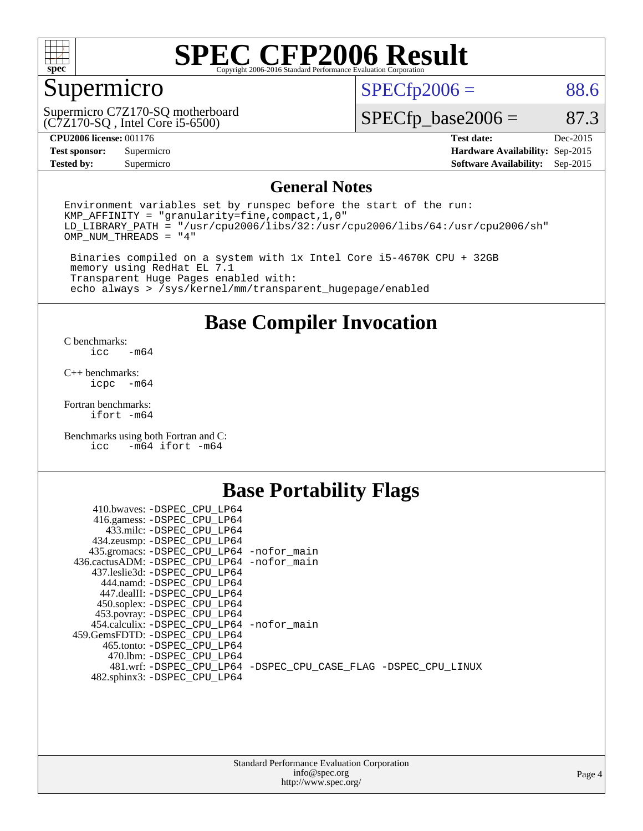

## Supermicro

(C7Z170-SQ , Intel Core i5-6500) Supermicro C7Z170-SQ motherboard  $SPECfp2006 = 88.6$  $SPECfp2006 = 88.6$ 

 $SPECTp\_base2006 = 87.3$ 

#### **[CPU2006 license:](http://www.spec.org/auto/cpu2006/Docs/result-fields.html#CPU2006license)** 001176 **[Test date:](http://www.spec.org/auto/cpu2006/Docs/result-fields.html#Testdate)** Dec-2015

**[Test sponsor:](http://www.spec.org/auto/cpu2006/Docs/result-fields.html#Testsponsor)** Supermicro **[Hardware Availability:](http://www.spec.org/auto/cpu2006/Docs/result-fields.html#HardwareAvailability)** Sep-2015 **[Tested by:](http://www.spec.org/auto/cpu2006/Docs/result-fields.html#Testedby)** Supermicro **Supermicro [Software Availability:](http://www.spec.org/auto/cpu2006/Docs/result-fields.html#SoftwareAvailability)** Sep-2015

#### **[General Notes](http://www.spec.org/auto/cpu2006/Docs/result-fields.html#GeneralNotes)**

Environment variables set by runspec before the start of the run: KMP\_AFFINITY = "granularity=fine,compact,1,0"  $LD$ <sup>LIBRARY\_PATH = "/usr/cpu2006/libs/32:/usr/cpu2006/libs/64:/usr/cpu2006/sh"</sup> OMP\_NUM\_THREADS = "4"

 Binaries compiled on a system with 1x Intel Core i5-4670K CPU + 32GB memory using RedHat EL 7.1 Transparent Huge Pages enabled with: echo always > /sys/kernel/mm/transparent\_hugepage/enabled

#### **[Base Compiler Invocation](http://www.spec.org/auto/cpu2006/Docs/result-fields.html#BaseCompilerInvocation)**

[C benchmarks](http://www.spec.org/auto/cpu2006/Docs/result-fields.html#Cbenchmarks):  $-m64$ 

[C++ benchmarks:](http://www.spec.org/auto/cpu2006/Docs/result-fields.html#CXXbenchmarks) [icpc -m64](http://www.spec.org/cpu2006/results/res2016q1/cpu2006-20151223-38510.flags.html#user_CXXbase_intel_icpc_64bit_bedb90c1146cab66620883ef4f41a67e)

[Fortran benchmarks](http://www.spec.org/auto/cpu2006/Docs/result-fields.html#Fortranbenchmarks): [ifort -m64](http://www.spec.org/cpu2006/results/res2016q1/cpu2006-20151223-38510.flags.html#user_FCbase_intel_ifort_64bit_ee9d0fb25645d0210d97eb0527dcc06e)

[Benchmarks using both Fortran and C](http://www.spec.org/auto/cpu2006/Docs/result-fields.html#BenchmarksusingbothFortranandC):<br>icc -m64 ifort -m64  $-m64$  ifort  $-m64$ 

#### **[Base Portability Flags](http://www.spec.org/auto/cpu2006/Docs/result-fields.html#BasePortabilityFlags)**

| 410.bwaves: -DSPEC CPU LP64                 |                                                                |
|---------------------------------------------|----------------------------------------------------------------|
| 416.gamess: -DSPEC_CPU_LP64                 |                                                                |
| 433.milc: -DSPEC CPU LP64                   |                                                                |
| 434.zeusmp: -DSPEC_CPU_LP64                 |                                                                |
| 435.gromacs: -DSPEC_CPU_LP64 -nofor_main    |                                                                |
| 436.cactusADM: -DSPEC CPU LP64 -nofor main  |                                                                |
| 437.leslie3d: -DSPEC CPU LP64               |                                                                |
| 444.namd: -DSPEC CPU LP64                   |                                                                |
| 447.dealII: -DSPEC CPU LP64                 |                                                                |
| 450.soplex: -DSPEC_CPU_LP64                 |                                                                |
| 453.povray: -DSPEC_CPU_LP64                 |                                                                |
| 454.calculix: - DSPEC CPU LP64 - nofor main |                                                                |
| 459. GemsFDTD: - DSPEC CPU LP64             |                                                                |
| 465.tonto: - DSPEC CPU LP64                 |                                                                |
| 470.1bm: - DSPEC CPU LP64                   |                                                                |
|                                             | 481.wrf: -DSPEC CPU_LP64 -DSPEC_CPU_CASE_FLAG -DSPEC_CPU_LINUX |
| 482.sphinx3: -DSPEC_CPU_LP64                |                                                                |
|                                             |                                                                |

| <b>Standard Performance Evaluation Corporation</b> |
|----------------------------------------------------|
| info@spec.org                                      |
| http://www.spec.org/                               |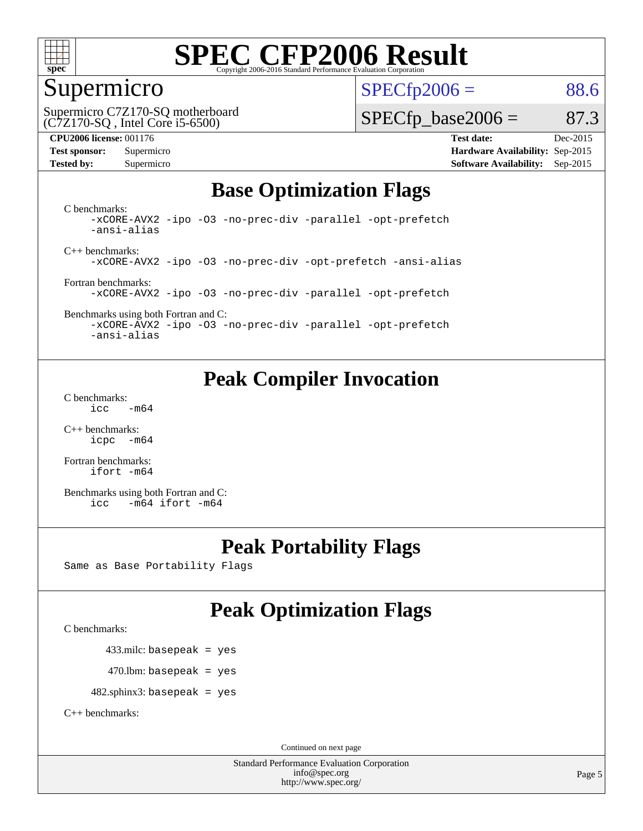

## Supermicro

 $SPECTp2006 = 88.6$ 

(C7Z170-SQ , Intel Core i5-6500) Supermicro C7Z170-SQ motherboard

#### **[CPU2006 license:](http://www.spec.org/auto/cpu2006/Docs/result-fields.html#CPU2006license)** 001176 **[Test date:](http://www.spec.org/auto/cpu2006/Docs/result-fields.html#Testdate)** Dec-2015

 $SPECTp\_base2006 = 87.3$ 

**[Test sponsor:](http://www.spec.org/auto/cpu2006/Docs/result-fields.html#Testsponsor)** Supermicro **[Hardware Availability:](http://www.spec.org/auto/cpu2006/Docs/result-fields.html#HardwareAvailability)** Sep-2015 **[Tested by:](http://www.spec.org/auto/cpu2006/Docs/result-fields.html#Testedby)** Supermicro **Supermicro [Software Availability:](http://www.spec.org/auto/cpu2006/Docs/result-fields.html#SoftwareAvailability)** Sep-2015

### **[Base Optimization Flags](http://www.spec.org/auto/cpu2006/Docs/result-fields.html#BaseOptimizationFlags)**

[C benchmarks](http://www.spec.org/auto/cpu2006/Docs/result-fields.html#Cbenchmarks): [-xCORE-AVX2](http://www.spec.org/cpu2006/results/res2016q1/cpu2006-20151223-38510.flags.html#user_CCbase_f-xAVX2_5f5fc0cbe2c9f62c816d3e45806c70d7) [-ipo](http://www.spec.org/cpu2006/results/res2016q1/cpu2006-20151223-38510.flags.html#user_CCbase_f-ipo) [-O3](http://www.spec.org/cpu2006/results/res2016q1/cpu2006-20151223-38510.flags.html#user_CCbase_f-O3) [-no-prec-div](http://www.spec.org/cpu2006/results/res2016q1/cpu2006-20151223-38510.flags.html#user_CCbase_f-no-prec-div) [-parallel](http://www.spec.org/cpu2006/results/res2016q1/cpu2006-20151223-38510.flags.html#user_CCbase_f-parallel) [-opt-prefetch](http://www.spec.org/cpu2006/results/res2016q1/cpu2006-20151223-38510.flags.html#user_CCbase_f-opt-prefetch) [-ansi-alias](http://www.spec.org/cpu2006/results/res2016q1/cpu2006-20151223-38510.flags.html#user_CCbase_f-ansi-alias)

[C++ benchmarks:](http://www.spec.org/auto/cpu2006/Docs/result-fields.html#CXXbenchmarks) [-xCORE-AVX2](http://www.spec.org/cpu2006/results/res2016q1/cpu2006-20151223-38510.flags.html#user_CXXbase_f-xAVX2_5f5fc0cbe2c9f62c816d3e45806c70d7) [-ipo](http://www.spec.org/cpu2006/results/res2016q1/cpu2006-20151223-38510.flags.html#user_CXXbase_f-ipo) [-O3](http://www.spec.org/cpu2006/results/res2016q1/cpu2006-20151223-38510.flags.html#user_CXXbase_f-O3) [-no-prec-div](http://www.spec.org/cpu2006/results/res2016q1/cpu2006-20151223-38510.flags.html#user_CXXbase_f-no-prec-div) [-opt-prefetch](http://www.spec.org/cpu2006/results/res2016q1/cpu2006-20151223-38510.flags.html#user_CXXbase_f-opt-prefetch) [-ansi-alias](http://www.spec.org/cpu2006/results/res2016q1/cpu2006-20151223-38510.flags.html#user_CXXbase_f-ansi-alias)

[Fortran benchmarks](http://www.spec.org/auto/cpu2006/Docs/result-fields.html#Fortranbenchmarks): [-xCORE-AVX2](http://www.spec.org/cpu2006/results/res2016q1/cpu2006-20151223-38510.flags.html#user_FCbase_f-xAVX2_5f5fc0cbe2c9f62c816d3e45806c70d7) [-ipo](http://www.spec.org/cpu2006/results/res2016q1/cpu2006-20151223-38510.flags.html#user_FCbase_f-ipo) [-O3](http://www.spec.org/cpu2006/results/res2016q1/cpu2006-20151223-38510.flags.html#user_FCbase_f-O3) [-no-prec-div](http://www.spec.org/cpu2006/results/res2016q1/cpu2006-20151223-38510.flags.html#user_FCbase_f-no-prec-div) [-parallel](http://www.spec.org/cpu2006/results/res2016q1/cpu2006-20151223-38510.flags.html#user_FCbase_f-parallel) [-opt-prefetch](http://www.spec.org/cpu2006/results/res2016q1/cpu2006-20151223-38510.flags.html#user_FCbase_f-opt-prefetch)

[Benchmarks using both Fortran and C](http://www.spec.org/auto/cpu2006/Docs/result-fields.html#BenchmarksusingbothFortranandC): [-xCORE-AVX2](http://www.spec.org/cpu2006/results/res2016q1/cpu2006-20151223-38510.flags.html#user_CC_FCbase_f-xAVX2_5f5fc0cbe2c9f62c816d3e45806c70d7) [-ipo](http://www.spec.org/cpu2006/results/res2016q1/cpu2006-20151223-38510.flags.html#user_CC_FCbase_f-ipo) [-O3](http://www.spec.org/cpu2006/results/res2016q1/cpu2006-20151223-38510.flags.html#user_CC_FCbase_f-O3) [-no-prec-div](http://www.spec.org/cpu2006/results/res2016q1/cpu2006-20151223-38510.flags.html#user_CC_FCbase_f-no-prec-div) [-parallel](http://www.spec.org/cpu2006/results/res2016q1/cpu2006-20151223-38510.flags.html#user_CC_FCbase_f-parallel) [-opt-prefetch](http://www.spec.org/cpu2006/results/res2016q1/cpu2006-20151223-38510.flags.html#user_CC_FCbase_f-opt-prefetch)

[-ansi-alias](http://www.spec.org/cpu2006/results/res2016q1/cpu2006-20151223-38510.flags.html#user_CC_FCbase_f-ansi-alias)

## **[Peak Compiler Invocation](http://www.spec.org/auto/cpu2006/Docs/result-fields.html#PeakCompilerInvocation)**

[C benchmarks](http://www.spec.org/auto/cpu2006/Docs/result-fields.html#Cbenchmarks):  $\text{icc}$   $-\text{m64}$ 

[C++ benchmarks:](http://www.spec.org/auto/cpu2006/Docs/result-fields.html#CXXbenchmarks) [icpc -m64](http://www.spec.org/cpu2006/results/res2016q1/cpu2006-20151223-38510.flags.html#user_CXXpeak_intel_icpc_64bit_bedb90c1146cab66620883ef4f41a67e)

[Fortran benchmarks](http://www.spec.org/auto/cpu2006/Docs/result-fields.html#Fortranbenchmarks): [ifort -m64](http://www.spec.org/cpu2006/results/res2016q1/cpu2006-20151223-38510.flags.html#user_FCpeak_intel_ifort_64bit_ee9d0fb25645d0210d97eb0527dcc06e)

[Benchmarks using both Fortran and C](http://www.spec.org/auto/cpu2006/Docs/result-fields.html#BenchmarksusingbothFortranandC): [icc -m64](http://www.spec.org/cpu2006/results/res2016q1/cpu2006-20151223-38510.flags.html#user_CC_FCpeak_intel_icc_64bit_0b7121f5ab7cfabee23d88897260401c) [ifort -m64](http://www.spec.org/cpu2006/results/res2016q1/cpu2006-20151223-38510.flags.html#user_CC_FCpeak_intel_ifort_64bit_ee9d0fb25645d0210d97eb0527dcc06e)

### **[Peak Portability Flags](http://www.spec.org/auto/cpu2006/Docs/result-fields.html#PeakPortabilityFlags)**

Same as Base Portability Flags

## **[Peak Optimization Flags](http://www.spec.org/auto/cpu2006/Docs/result-fields.html#PeakOptimizationFlags)**

[C benchmarks](http://www.spec.org/auto/cpu2006/Docs/result-fields.html#Cbenchmarks):

433.milc: basepeak = yes

 $470.$ lbm: basepeak = yes

482.sphinx3: basepeak = yes

[C++ benchmarks:](http://www.spec.org/auto/cpu2006/Docs/result-fields.html#CXXbenchmarks)

Continued on next page

Standard Performance Evaluation Corporation [info@spec.org](mailto:info@spec.org) <http://www.spec.org/>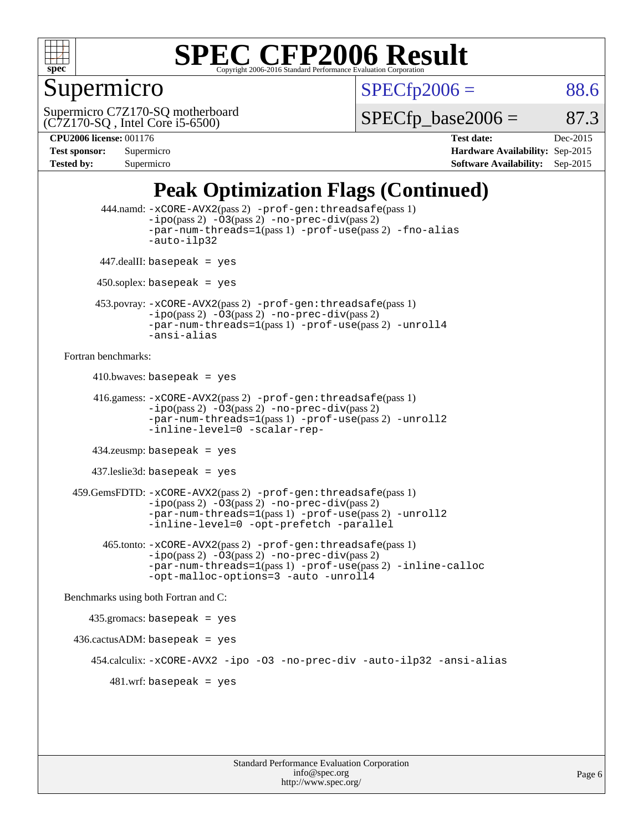

### Supermicro

 $SPECTp2006 = 88.6$ 

(C7Z170-SQ , Intel Core i5-6500) Supermicro C7Z170-SQ motherboard  $SPECTp\_base2006 = 87.3$ 

**[CPU2006 license:](http://www.spec.org/auto/cpu2006/Docs/result-fields.html#CPU2006license)** 001176 **[Test date:](http://www.spec.org/auto/cpu2006/Docs/result-fields.html#Testdate)** Dec-2015 **[Test sponsor:](http://www.spec.org/auto/cpu2006/Docs/result-fields.html#Testsponsor)** Supermicro **[Hardware Availability:](http://www.spec.org/auto/cpu2006/Docs/result-fields.html#HardwareAvailability)** Sep-2015 **[Tested by:](http://www.spec.org/auto/cpu2006/Docs/result-fields.html#Testedby)** Supermicro **Supermicro [Software Availability:](http://www.spec.org/auto/cpu2006/Docs/result-fields.html#SoftwareAvailability)** Sep-2015

## **[Peak Optimization Flags \(Continued\)](http://www.spec.org/auto/cpu2006/Docs/result-fields.html#PeakOptimizationFlags)**

```
 444.namd: -xCORE-AVX2(pass 2) -prof-gen:threadsafe(pass 1)
               -ipo(pass 2) -03(pass 2) -no-prec-div(pass 2)
               -par-num-threads=1(pass 1) -prof-use(pass 2) -fno-alias
               -auto-ilp32
      447.dealII: basepeak = yes
       450.soplex: basepeak = yes
      453.povray: -xCORE-AVX2(pass 2) -prof-gen:threadsafe(pass 1)
               -no-prec-div(pass 2)-par-num-threads=1(pass 1) -prof-use(pass 2) -unroll4
               -ansi-alias
Fortran benchmarks: 
     410.bwaves: basepeak = yes 416.gamess: -xCORE-AVX2(pass 2) -prof-gen:threadsafe(pass 1)
               -ipo(pass 2) -O3(pass 2) -no-prec-div(pass 2)
               -par-num-threads=1(pass 1) -prof-use(pass 2) -unroll2
               -inline-level=0 -scalar-rep-
      434.zeusmp: basepeak = yes
      437.leslie3d: basepeak = yes
  459.GemsFDTD: -xCORE-AVX2(pass 2) -prof-gen:threadsafe(pass 1)
               -i\text{po}(pass 2) -\tilde{O}3(pass 2)-no-prec-div(pass 2)
               -par-num-threads=1(pass 1) -prof-use(pass 2) -unroll2
               -inline-level=0 -opt-prefetch -parallel
        465.tonto: -xCORE-AVX2(pass 2) -prof-gen:threadsafe(pass 1)
               -no-prec-div(pass 2)-par-num-threads=1(pass 1) -prof-use(pass 2) -inline-calloc
               -opt-malloc-options=3 -auto -unroll4
Benchmarks using both Fortran and C: 
     435.gromacs: basepeak = yes
 436.cactusADM:basepeak = yes 454.calculix: -xCORE-AVX2 -ipo -O3 -no-prec-div -auto-ilp32 -ansi-alias
        481 \text{.m}: basepeak = yes
```